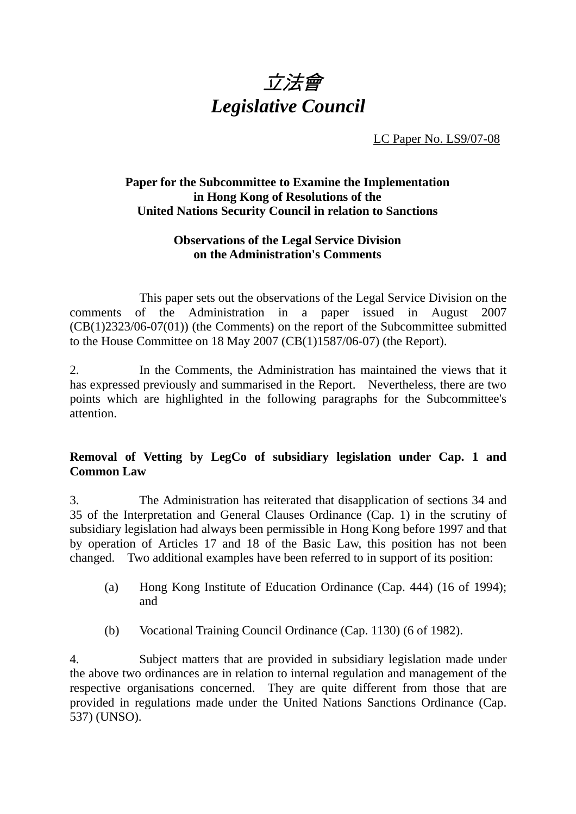

LC Paper No. LS9/07-08

## **Paper for the Subcommittee to Examine the Implementation in Hong Kong of Resolutions of the United Nations Security Council in relation to Sanctions**

## **Observations of the Legal Service Division on the Administration's Comments**

 This paper sets out the observations of the Legal Service Division on the comments of the Administration in a paper issued in August 2007 (CB(1)2323/06-07(01)) (the Comments) on the report of the Subcommittee submitted to the House Committee on 18 May 2007 (CB(1)1587/06-07) (the Report).

2. In the Comments, the Administration has maintained the views that it has expressed previously and summarised in the Report. Nevertheless, there are two points which are highlighted in the following paragraphs for the Subcommittee's attention.

## **Removal of Vetting by LegCo of subsidiary legislation under Cap. 1 and Common Law**

3. The Administration has reiterated that disapplication of sections 34 and 35 of the Interpretation and General Clauses Ordinance (Cap. 1) in the scrutiny of subsidiary legislation had always been permissible in Hong Kong before 1997 and that by operation of Articles 17 and 18 of the Basic Law, this position has not been changed. Two additional examples have been referred to in support of its position:

- (a) Hong Kong Institute of Education Ordinance (Cap. 444) (16 of 1994); and
- (b) Vocational Training Council Ordinance (Cap. 1130) (6 of 1982).

4. Subject matters that are provided in subsidiary legislation made under the above two ordinances are in relation to internal regulation and management of the respective organisations concerned. They are quite different from those that are provided in regulations made under the United Nations Sanctions Ordinance (Cap. 537) (UNSO).